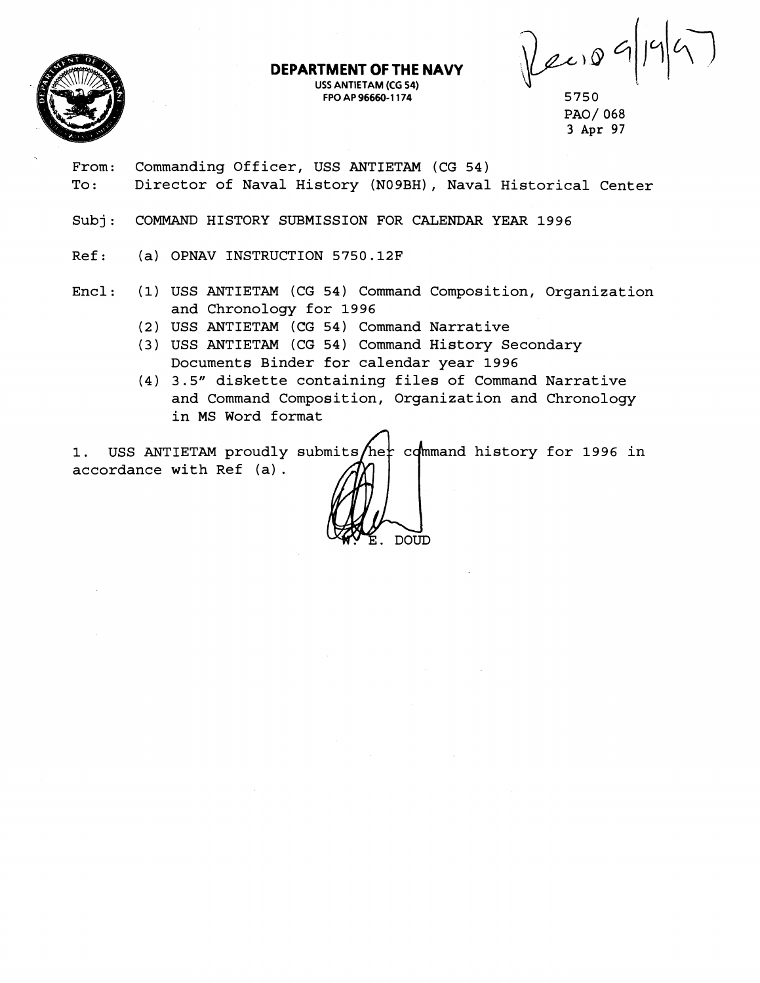

#### **DEPARTMENT OF THE NAVY USS ANTIETAM (CG 54) FPO AP 96660-1 174**

Recio

5750 PAO/ 068 3 Apr 97

- From: Commanding Officer, USS ANTIETAM (CG 54) To: Director of Naval History (N09BH), Naval Historical Center
- Subj: COMMAND HISTORY SUBMISSION FOR CALENDAR YEAR 1996
- Ref: (a) OPNAV INSTRUCTION 5750.12F
- Encl: (1) USS ANTIETAM (CG 54) Command Composition, Organization and Chronology for 1996
	- (2) USS ANTIETAM (CG 54) Command Narrative
	- (3) USS ANTIETAM (CG 54) Command History Secondary Documents Binder for calendar year 1996
	- (4) 3.5" diskette containing files of Command Narrative and Command Composition, Organization and Chronology in MS Word format

1. USS ANTIETAM proudly submits/her command history for 1996 in accordance with Ref (a).

**DOUD**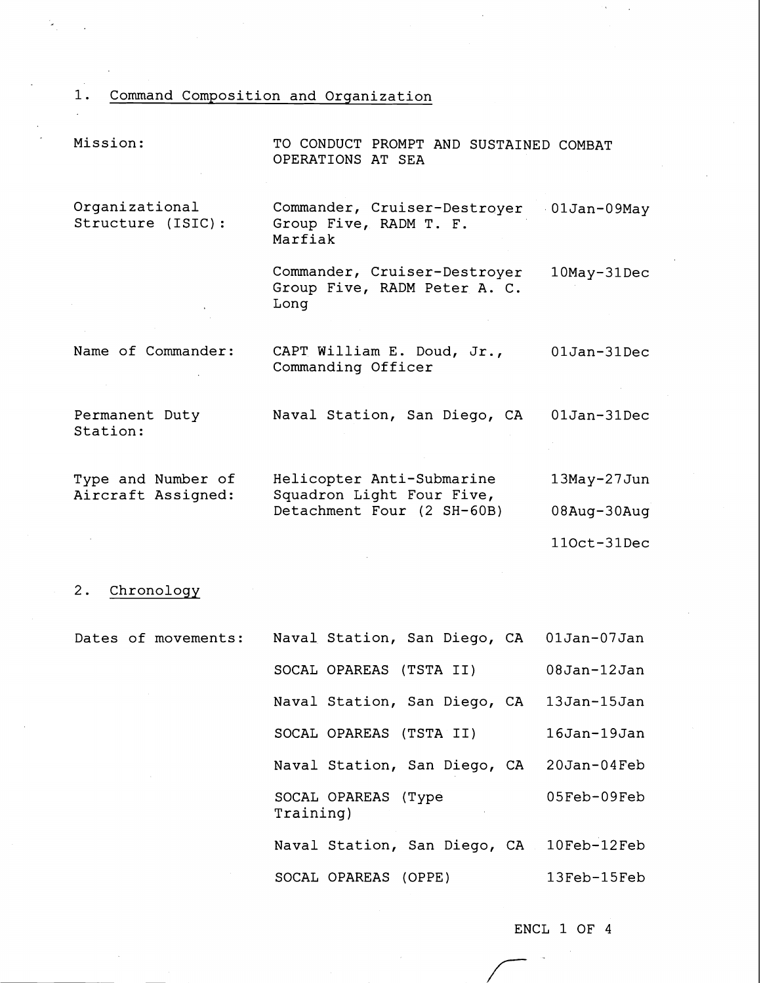1. Command Composition and Orqanization

| Mission:                                 | TO CONDUCT PROMPT AND SUSTAINED COMBAT<br>OPERATIONS AT SEA                          |                    |  |
|------------------------------------------|--------------------------------------------------------------------------------------|--------------------|--|
| Organizational<br>Structure (ISIC):      | Commander, Cruiser-Destroyer<br>Group Five, RADM T. F.<br>Marfiak                    | $01Jan-09May$      |  |
|                                          | Commander, Cruiser-Destroyer<br>Group Five, RADM Peter A. C.<br>Long                 | 10May-31Dec        |  |
| Name of Commander:                       | CAPT William E. Doud, Jr.,<br>Commanding Officer                                     | 01Jan-31Dec        |  |
| Permanent Duty<br>Station:               | Naval Station, San Diego, CA                                                         | $01$ Jan- $31$ Dec |  |
| Type and Number of<br>Aircraft Assigned: | Helicopter Anti-Submarine<br>Squadron Light Four Five,<br>Detachment Four (2 SH-60B) | 13May-27Jun        |  |
|                                          |                                                                                      | 08Aug-30Aug        |  |
|                                          |                                                                                      | 110ct-31Dec        |  |

# 2. Chronoloqy

÷,

| Dates of movements: | Naval Station, San Diego, CA             | 01Jan-07Jan        |
|---------------------|------------------------------------------|--------------------|
|                     | SOCAL OPAREAS (TSTA II)                  | $08$ Jan- $12$ Jan |
|                     | Naval Station, San Diego, CA             | $13$ Jan- $15$ Jan |
|                     | SOCAL OPAREAS (TSTA II)                  | $16$ Jan- $19$ Jan |
|                     | Naval Station, San Diego, CA             | $20$ Jan- $04$ Feb |
|                     | SOCAL OPAREAS (Type<br>Training)         | $05Feb-09Feb$      |
|                     | Naval Station, San Diego, CA 10Feb-12Feb |                    |
|                     | SOCAL OPAREAS (OPPE)                     | 13Feb-15Feb        |

ENCL 1 OF 4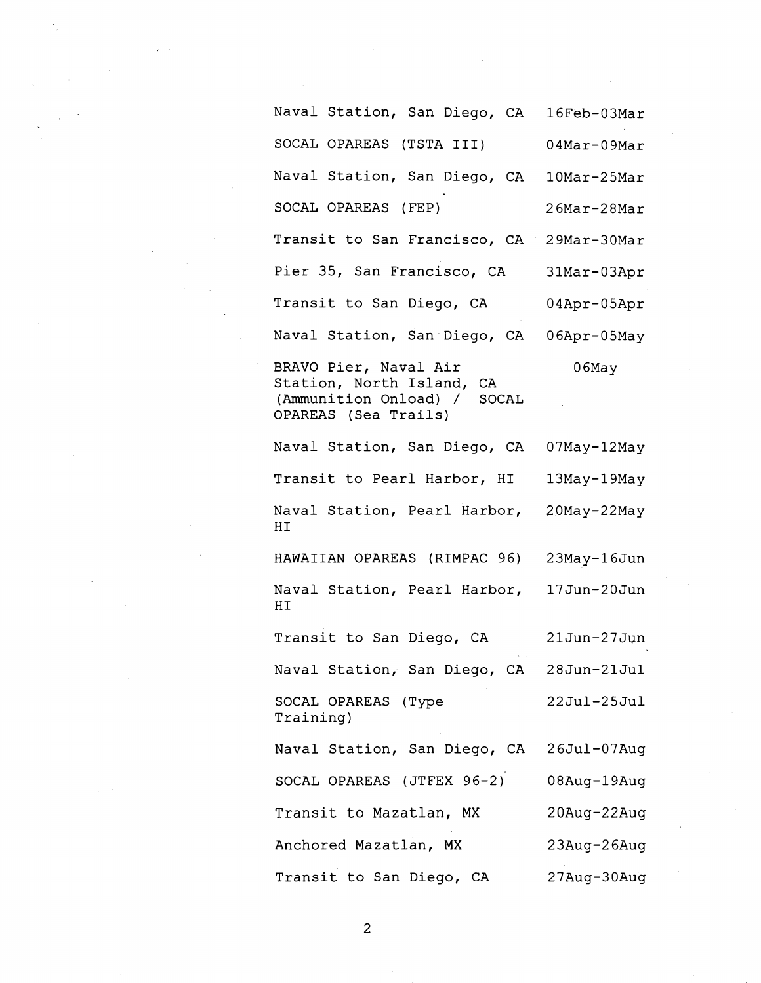Naval Station, San Diego, CA 16Feb-03Mar SOCAL OPAREAS (TSTA III) 04Mar-09Mar Naval Station, San Diego, CA 1OMar-25Mar SOCAL OPAREAS (FEP) 26Mar-28Mar Transit to San Francisco, CA 29Mar-30Mar Pier 35, San Francisco, CA 31Mar-03Apr Transit to San Diego, CA 04Apr-05Apr Naval Station, San.Diego, CA O6Apr-05May BRAVO Pier, Naval Air 66May Station, North Island, CA (Ammunition Onload) / SOCAL OPAREAS (Sea Trails) Naval Station, San Diego, CA 07May-12May Transit to Pearl Harbor, HI 13May-19May Naval Station, Pearl Harbor, 20May-22May HI HAWAIIAN OPAREAS (RIMPAC 96) 23May-16Jun Naval Station, Pearl Harbor, 17Jun-20Jun HI Transit to San Diego, CA 21 Jun-27 Jun Naval Station, San Diego, CA 28Jun-21Jul SOCAL OPAREAS (Type  $22$ Jul- $25$ Jul Training) Naval Station, San Diego, CA 26Jul-07Aug SOCAL OPAREAS (JTFEX 96-2) 08Aug-19Aug Transit to Mazatlan, MX 20Aug-22Aug Anchored Mazatlan, MX 23Aug-26Aug Transit to San Diego, CA 27Aug-30Aug

 $\overline{c}$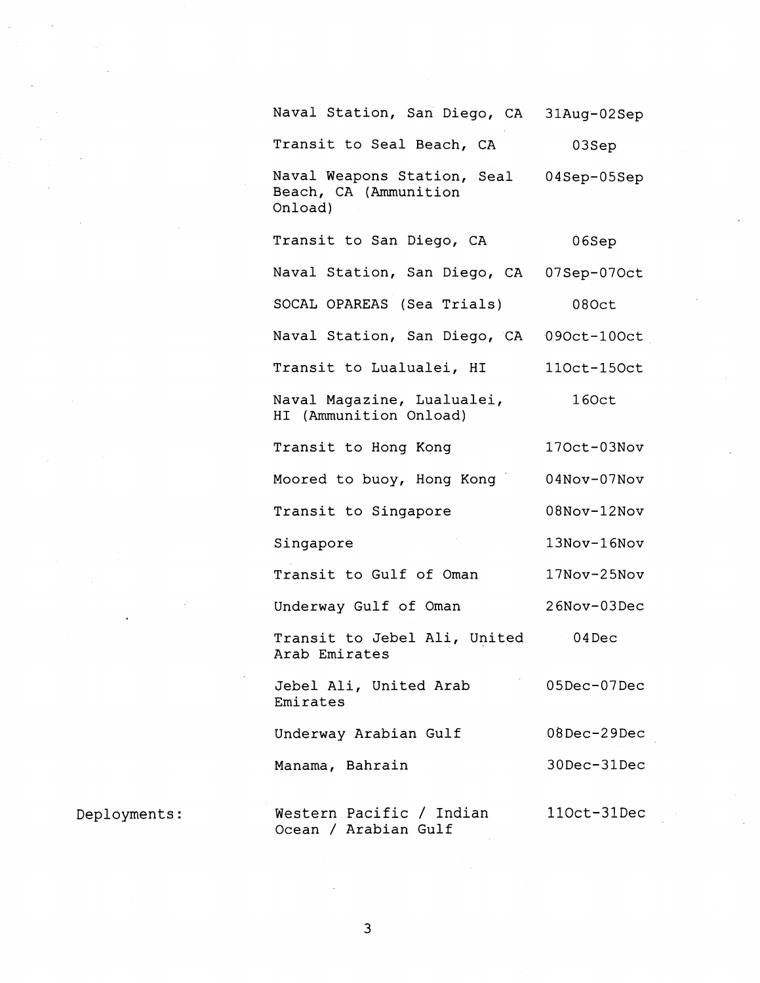Naval Station, San Diego, CA 31Aug-02Sep Transit to Seal Beach, CA 03Sep Naval Weapons Station, Seal 04Sep-05Sep Beach, CA (Ammunition Onload) Transit to San Diego, CA 06Sep Naval Station, San Diego, CA 07Sep-07Oct SOCAL OPAREAS (Sea Trials) 08Oct Naval Station, San Diego, CA 090ct-100ct Transit to Lualualei, HI 110ct-150ct Naval Magazine, Lualualei, 160ct HI (Ammunition Onload) Transit to Hong Kong 170ct-03Nov Moored to buoy, Hong Kong 04Nov-07Nov Transit to Singapore 08Nov-12Nov 13Nov-16Nov Singapore Transit to Gulf of Oman 17Nov-25Nov Underway Gulf of Oman 26Nov-03Dec Transit to Jebel Ali, United 04Dec Arab Emirates Jebel Ali, United Arab 05Dec-07Dec Emirates Underway Arabian Gulf 08Dec-29Dec Manama, Bahrain 30Dec-31Dec Western Pacific / Indian ll0ct-31Dec Ocean / Arabian Gulf

Deployments:

3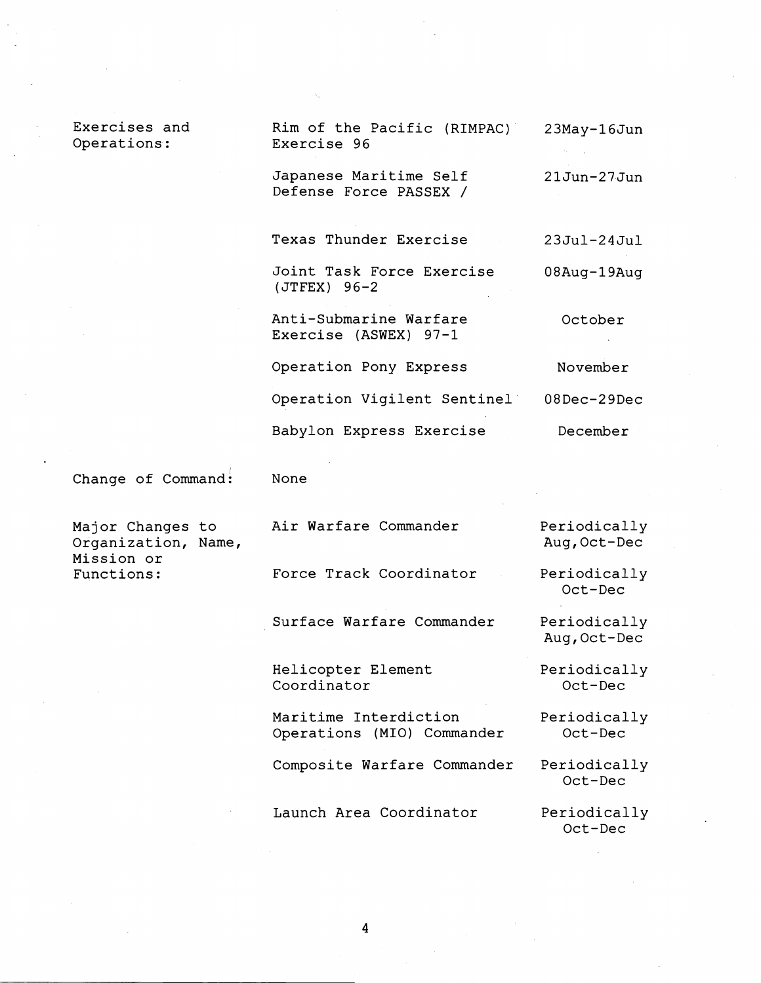Exercises and Operations:

| Rim of the Pacific (RIMPAC)<br>Exercise 96       | $23$ May-16Jun |
|--------------------------------------------------|----------------|
| Japanese Maritime Self<br>Defense Force PASSEX / | 21Jun-27Jun    |
| Texas Thunder Exercise                           | $23Jul-24Jul$  |
| Joint Task Force Exercise<br>$(JTFEX)$ 96-2      | 08Aug-19Aug    |
| Anti-Submarine Warfare<br>Exercise (ASWEX) 97-1  | October        |
| Operation Pony Express                           | November       |
| Operation Vigilent Sentinel                      | $08$ Dec-29Dec |
| Babylon Express Exercise                         | December       |

Change of Command: None

Organization, Name, Mission or<br>Functions:

Major Changes to Air Warfare Commander Periodically<br>Organization, Name, Aug, Oct-Dec

Oct-Dec

Force Track Coordinator Periodically

Surface Warfare Commander Periodically

Helicopter Element Periodically  $Coordinator$ 

Maritime Interdiction Periodically<br>Operations (MIO) Commander Oct-Dec Operations (MIO) Commander

Composite Warfare Commander Periodically

Launch Area Coordinator Periodically

Aug, Oct-Dec

Oct-Dec

Oct-Dec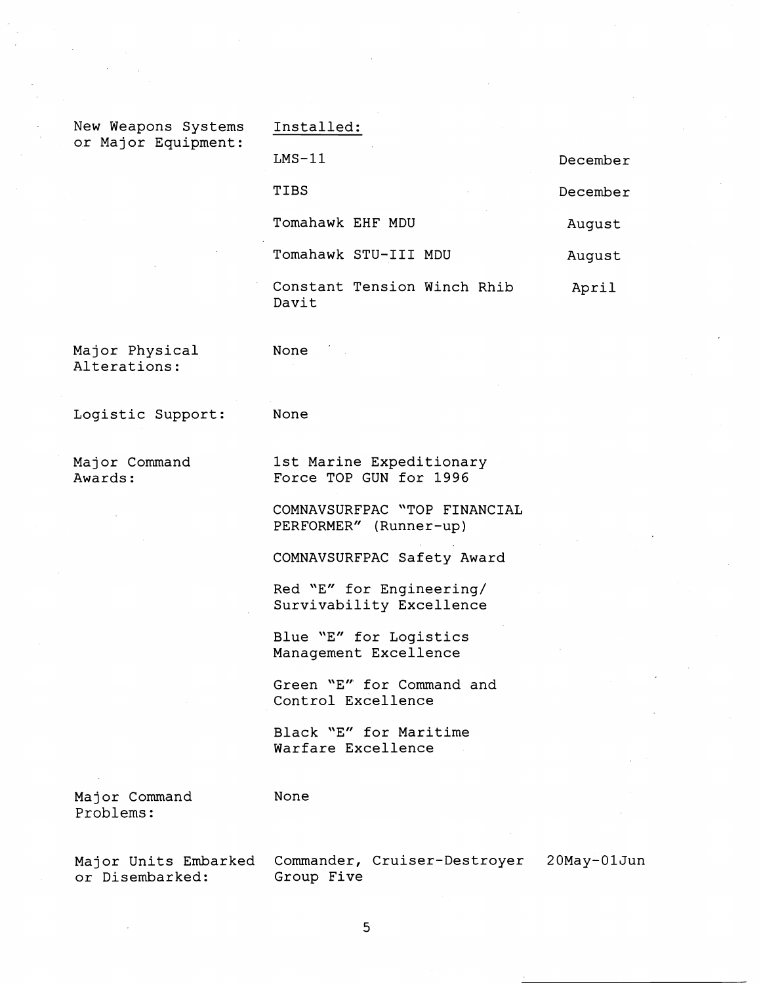| New Weapons Systems<br>or Major Equipment: | Installed:                           |          |  |
|--------------------------------------------|--------------------------------------|----------|--|
|                                            | $LMS-11$                             | December |  |
|                                            | TIBS<br><b>Contractor</b>            | December |  |
|                                            | Tomahawk EHF MDU                     | August   |  |
|                                            | Tomahawk STU-III MDU                 | August   |  |
|                                            | Constant Tension Winch Rhib<br>Davit | April    |  |

Major Physical None Alterations:

Logistic Support: None

Major Command 1st Marine Expeditionary Awards: Force TOP GUN for 1996

> COMNAVSURFPAC "TOP FINANCIAL PERFORMER" (Runner-up)

COMNAVSURFPAC Safety Award

Red "E" for Engineering/ Survivability Excellence

Blue "E" for Logistics Management Excellence

Green "E" for Command and Control Excellence

Black "E" for Maritime Warfare Excellence

Major Command None Problems :

or Disembarked:

Major Units Embarked Commander, Cruiser-Destroyer 20May-01Jun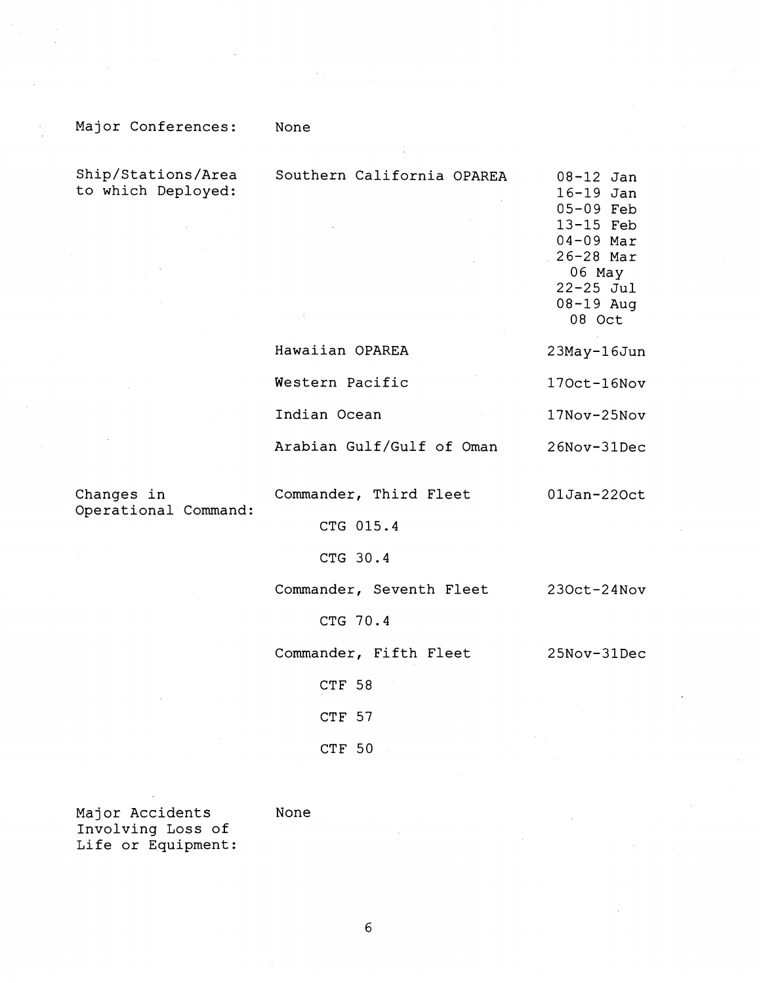## Major Conferences: None

Ship/Stations/Area Southern California OPAREA 08-12 Jan to which Deployed: 16-19 Jan 05-09 Feb 13-15 Feb 04-09 Mar 26-28 Mar 06 May 22-25 Jul 08-19 Aug 08 Oct Hawaiian OPAREA 23May-16Jun Western Pacific 170ct-16Nov Indian Ocean 17Nov-25Nov Arabian Gulf/Gulf of Oman 26Nov-31Dec

Operational Command:

Changes in Commander, Third Fleet 01Jan-220ct

CTG 015.4

CTG 30.4

Commander, Seventh Fleet 230ct-24Nov

CTG 70.4

Commander, Fifth Fleet 25Nov-31Dec

CTF 58

CTF 57

CTF 50

Major Accidents None Involving Loss of Life or Equipment: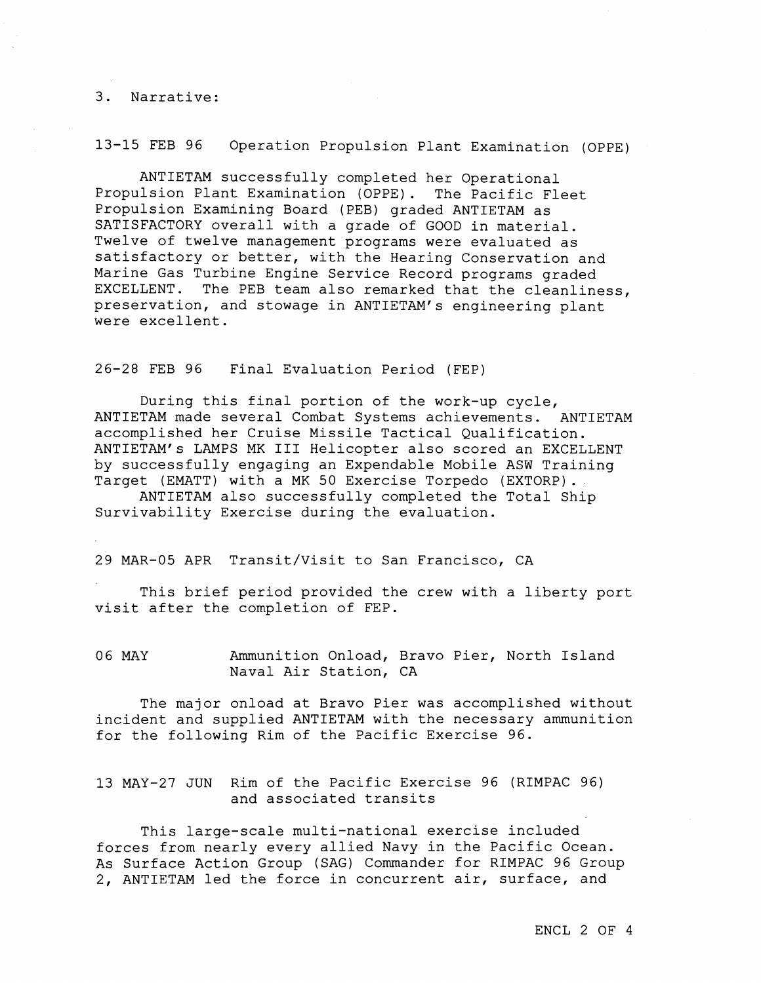#### 3. Narrative:

13-15 FEB 96 Operation Propulsion Plant Examination (OPPE)

ANTIETAM successfully completed her Operational Propulsion Plant Examination (OPPE). The Pacific Fleet Propulsion Examining Board (PEB) graded ANTIETAM as SATISFACTORY overall with a grade of GOOD in material. Twelve of twelve management programs were evaluated as satisfactory or better, with the Hearing Conservation and Marine Gas Turbine Engine Service Record programs graded EXCELLENT. The PEB team also remarked that the cleanliness, preservation, and stowage in ANTIETAM's engineering plant were excellent.

26-28 FEB 96 Final Evaluation Period (FEP)

During this final portion of the work-up cycle, ANTIETAM made several Combat Systems achievements. ANTIETAM accomplished her Cruise Missile Tactical Qualification. ANTIETAM's LAMPS MK I11 Helicopter also scored an EXCELLENT by successfully engaging an Expendable Mobile ASW Training Target (EMATT) with a MK 50 Exercise Torpedo (EXTORP).

ANTIETAM also successfully completed the Total Ship Survivability Exercise during the evaluation.

29 MAR-05 APR Transit/Visit to San Francisco, CA

This brief period provided the crew with a liberty port visit after the completion of FEP.

06 MAY Ammunition Onload, Bravo Pier, North Island Naval Air Station, CA

The major onload at Bravo Pier was accomplished without incident and supplied ANTIETAM with the necessary ammunition for the following Rim of the Pacific Exercise 96.

13 MAY-27 JUN Rim of the Pacific Exercise 96 (RIMPAC 96) and associated transits

This large-scale multi-national exercise included forces from nearly every allied Navy in the Pacific Ocean. As Surface Action Group (SAG) Commander for RIMPAC 96 Group 2, ANTIETAM led the force in concurrent air, surface, and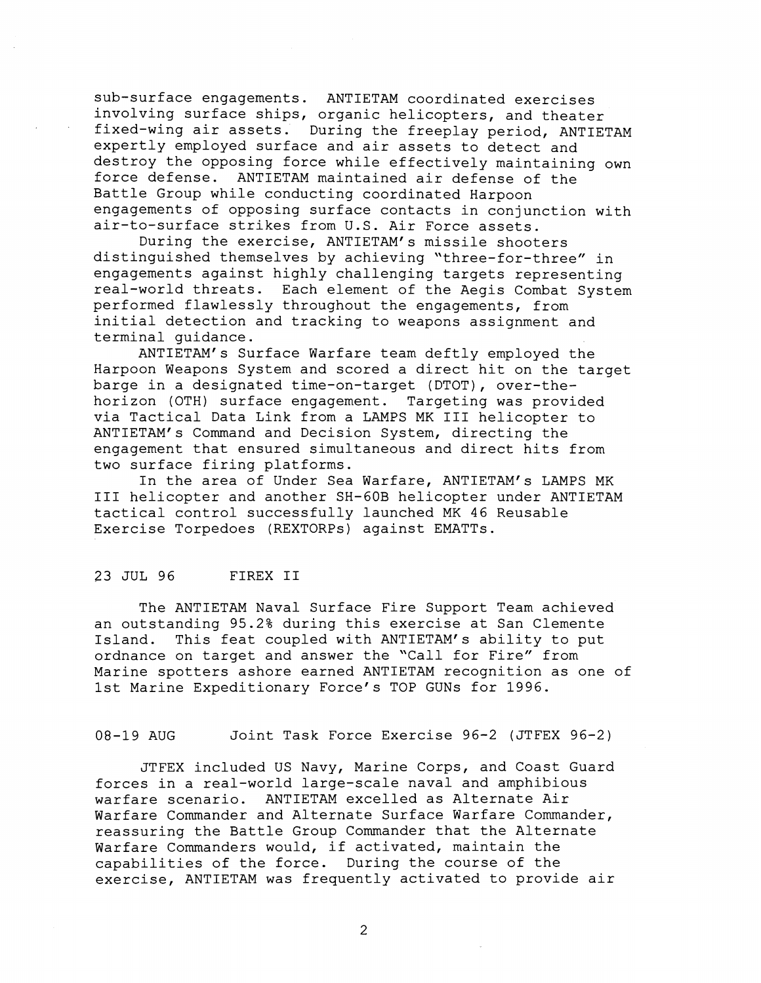sub-surface engagements. ANTIETAM coordinated exercises involving surface ships, organic helicopters, and theater fixed-wing air assets. During the freeplay period, ANTIETAM expertly employed surface and air assets to detect and destroy the opposing force while effectively maintaining own force defense. ANTIETAM maintained air defense of the Battle Group while conducting coordinated Harpoon engagements of opposing surface contacts in conjunction with air-to-surface strikes from U.S. Air Force assets.

During the exercise, ANTIETAM'S missile shooters distinguished themselves by achieving "three-for-three" in engagements against highly challenging targets representing real-world threats. Each element of the Aegis Combat System performed flawlessly throughout the engagements, from initial detection and tracking to weapons assignment and terminal guidance.

ANTIETAM's Surface Warfare team deftly employed the Harpoon Weapons System and scored a direct hit on the target barge in a designated time-on-target (DTOT), over-thehorizon (OTH) surface engagement. Targeting was provided via Tactical Data Link from a LAMPS MK I11 helicopter to ANTIETAM's Command and Decision System, directing the engagement that ensured simultaneous and direct hits from two surface firing platforms.

In the area of Under Sea Warfare, ANTIETAM's LAMPS MK I11 helicopter and another SH-GOB helicopter under ANTIETAM tactical control successfully launched MK 46 Reusable Exercise Torpedoes (REXTORPs) against EMATTs.

#### 23 JUL 96 FIREX I1

The ANTIETAM Naval Surface Fire Support Team achieved an outstanding 95.2% during this exercise at San Clemente Island. This feat coupled with ANTIETAM's ability to put ordnance on target and answer the "Call for Fire" from Marine spotters ashore earned ANTIETAM recognition as one of 1st Marine Expeditionary Force's TOP GUNS for 1996.

08-19 AUG Joint Task Force Exercise 96-2 (JTFEX 96-2)

JTFEX included US Navy, Marine Corps, and Coast Guard forces in a real-world large-scale naval and amphibious warfare scenario. ANTIETAM excelled as Alternate Air Warfare Commander and Alternate Surface Warfare Commander, reassuring the Battle Group Commander that the Alternate Warfare Commanders would, if activated, maintain the capabilities of the force. During the course of the exercise, ANTIETAM was frequently activated to provide air

 $\overline{2}$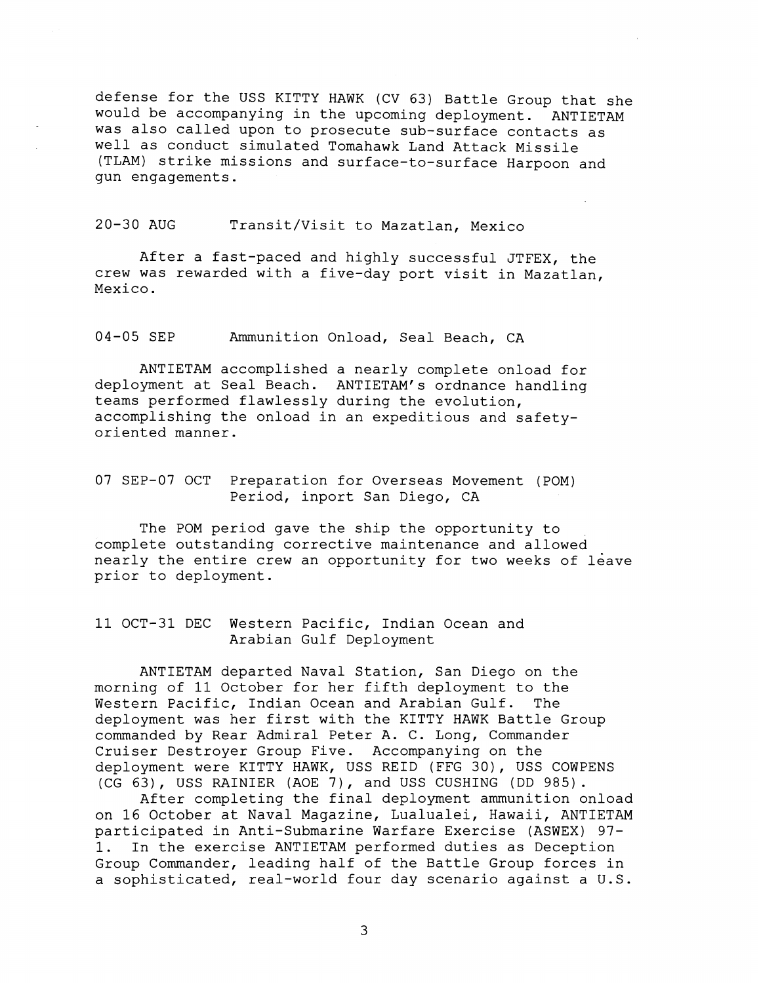defense for the USS KITTY HAWK (CV 63) Battle Group that she would be accompanying in the upcoming deployment. ANTIETAM was also called upon to prosecute sub-surface contacts as well as conduct simulated Tomahawk Land Attack Missile (TLAM) strike missions and surface-to-surface Harpoon and gun engagements.

20-30 AUG Transit/Visit to Mazatlan, Mexico

After a fast-paced and highly successful JTFEX, the crew was rewarded with a five-day port visit in Mazatlan, Mexico.

04-05 SEP Ammunition Onload, Seal Beach, CA

ANTIETAM accomplished a nearly complete onload for deployment at Seal Beach. ANTIETAM's ordnance handling teams performed flawlessly during the evolution, accomplishing the onload in an expeditious and safetyoriented manner.

### 07 SEP-07 OCT Preparation for Overseas Movement (POM) Period, inport San Diego, CA

The POM period gave the ship the opportunity to complete outstanding corrective maintenance and allowed nearly the entire crew an opportunity for two weeks of leave prior to deployment.

11 OCT-31 DEC Western Pacific, Indian Ocean and Arabian Gulf Deployment

ANTIETAM departed Naval Station, San Diego on the morning of 11 October for her fifth deployment to the Western Pacific, Indian Ocean and Arabian Gulf. The deployment was her first with the KITTY HAWK Battle Group commanded by Rear Admiral Peter A. C. Long, Commander Cruiser Destroyer Group Five. Accompanying on the deployment were KITTY HAWK, USS REID (FFG 30), USS COWPENS (CG 63), USS RAINIER (AOE 7), and USS CUSHING (DD 985).

After completing the final deployment ammunition onload on 16 October at Naval Magazine, Lualualei, Hawaii, ANTIETAM participated in Anti-Submarine Warfare Exercise (ASWEX) 97- 1. In the exercise ANTIETAM performed duties as Deception Group Commander, leading half of the Battle Group forces in a sophisticated, real-world four day scenario against a U.S.